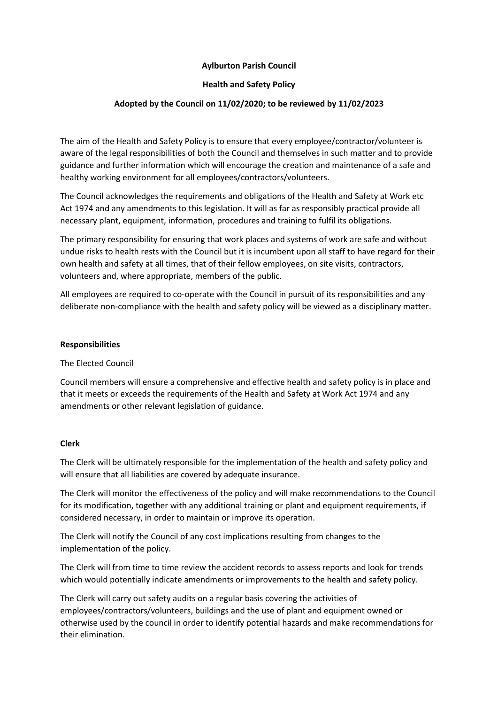# **Aylburton Parish Council**

# **Health and Safety Policy**

# **Adopted by the Council on 11/02/2020; to be reviewed by 11/02/2023**

The aim of the Health and Safety Policy is to ensure that every employee/contractor/volunteer is aware of the legal responsibilities of both the Council and themselves in such matter and to provide guidance and further information which will encourage the creation and maintenance of a safe and healthy working environment for all employees/contractors/volunteers.

The Council acknowledges the requirements and obligations of the Health and Safety at Work etc Act 1974 and any amendments to this legislation. It will as far as responsibly practical provide all necessary plant, equipment, information, procedures and training to fulfil its obligations.

The primary responsibility for ensuring that work places and systems of work are safe and without undue risks to health rests with the Council but it is incumbent upon all staff to have regard for their own health and safety at all times, that of their fellow employees, on site visits, contractors, volunteers and, where appropriate, members of the public.

All employees are required to co-operate with the Council in pursuit of its responsibilities and any deliberate non-compliance with the health and safety policy will be viewed as a disciplinary matter.

#### **Responsibilities**

The Elected Council

Council members will ensure a comprehensive and effective health and safety policy is in place and that it meets or exceeds the requirements of the Health and Safety at Work Act 1974 and any amendments or other relevant legislation of guidance.

#### **Clerk**

The Clerk will be ultimately responsible for the implementation of the health and safety policy and will ensure that all liabilities are covered by adequate insurance.

The Clerk will monitor the effectiveness of the policy and will make recommendations to the Council for its modification, together with any additional training or plant and equipment requirements, if considered necessary, in order to maintain or improve its operation.

The Clerk will notify the Council of any cost implications resulting from changes to the implementation of the policy.

The Clerk will from time to time review the accident records to assess reports and look for trends which would potentially indicate amendments or improvements to the health and safety policy.

The Clerk will carry out safety audits on a regular basis covering the activities of employees/contractors/volunteers, buildings and the use of plant and equipment owned or otherwise used by the council in order to identify potential hazards and make recommendations for their elimination.